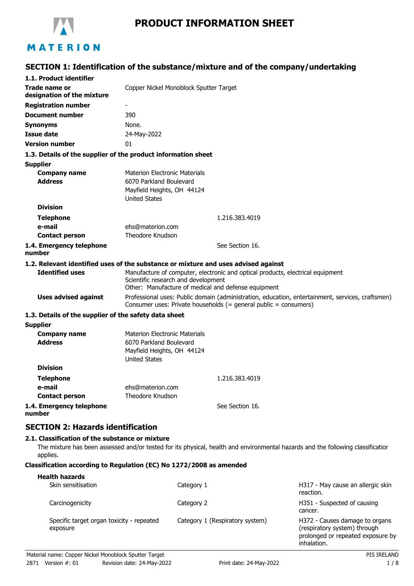

# **PRODUCT INFORMATION SHEET**

## **SECTION 1: Identification of the substance/mixture and of the company/undertaking**

| 1.1. Product identifier                                     |                                                                                                                                                                              |
|-------------------------------------------------------------|------------------------------------------------------------------------------------------------------------------------------------------------------------------------------|
| <b>Trade name or</b><br>designation of the mixture          | Copper Nickel Monoblock Sputter Target                                                                                                                                       |
| <b>Registration number</b>                                  | $\overline{\phantom{a}}$                                                                                                                                                     |
| <b>Document number</b>                                      | 390                                                                                                                                                                          |
| <b>Synonyms</b>                                             | None.                                                                                                                                                                        |
| <b>Issue date</b>                                           | 24-May-2022                                                                                                                                                                  |
| <b>Version number</b>                                       | 01                                                                                                                                                                           |
|                                                             | 1.3. Details of the supplier of the product information sheet                                                                                                                |
| <b>Supplier</b>                                             |                                                                                                                                                                              |
| <b>Company name</b><br><b>Address</b>                       | <b>Materion Electronic Materials</b><br>6070 Parkland Boulevard<br>Mayfield Heights, OH 44124<br><b>United States</b>                                                        |
| <b>Division</b>                                             |                                                                                                                                                                              |
| <b>Telephone</b>                                            | 1.216.383.4019                                                                                                                                                               |
| e-mail                                                      | ehs@materion.com                                                                                                                                                             |
| <b>Contact person</b>                                       | Theodore Knudson                                                                                                                                                             |
| 1.4. Emergency telephone<br>number                          | See Section 16.                                                                                                                                                              |
|                                                             | 1.2. Relevant identified uses of the substance or mixture and uses advised against                                                                                           |
| <b>Identified uses</b>                                      | Manufacture of computer, electronic and optical products, electrical equipment<br>Scientific research and development<br>Other: Manufacture of medical and defense equipment |
| <b>Uses advised against</b>                                 | Professional uses: Public domain (administration, education, entertainment, services, craftsmen)<br>Consumer uses: Private households (= general public = consumers)         |
| 1.3. Details of the supplier of the safety data sheet       |                                                                                                                                                                              |
| <b>Supplier</b>                                             |                                                                                                                                                                              |
| <b>Company name</b><br><b>Address</b>                       | <b>Materion Electronic Materials</b><br>6070 Parkland Boulevard<br>Mayfield Heights, OH 44124<br><b>United States</b>                                                        |
| <b>Division</b>                                             |                                                                                                                                                                              |
| Telephone                                                   | 1.216.383.4019                                                                                                                                                               |
| e-mail                                                      | ehs@materion.com                                                                                                                                                             |
| <b>Contact person</b>                                       | Theodore Knudson                                                                                                                                                             |
| 1.4. Emergency telephone<br>number                          | See Section 16.                                                                                                                                                              |
| <b>SECTION 2: Hazards identification</b>                    |                                                                                                                                                                              |
| 2.1. Classification of the substance or mixture<br>applies. | The mixture has been assessed and/or tested for its physical, health and environmental hazards and the following classificatior                                              |

#### **Classification according to Regulation (EC) No 1272/2008 as amended**

| <b>Health hazards</b><br>Skin sensitisation           | Category 1                      | H317 - May cause an allergic skin<br>reaction.                                                                     |
|-------------------------------------------------------|---------------------------------|--------------------------------------------------------------------------------------------------------------------|
| Carcinogenicity                                       | Category 2                      | H351 - Suspected of causing<br>cancer.                                                                             |
| Specific target organ toxicity - repeated<br>exposure | Category 1 (Respiratory system) | H372 - Causes damage to organs<br>(respiratory system) through<br>prolonged or repeated exposure by<br>inhalation. |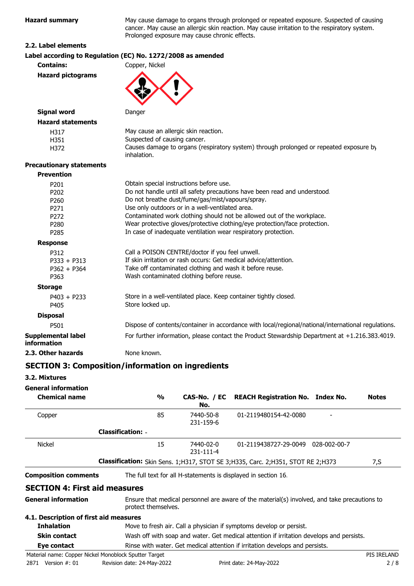**Hazard summary** May cause damage to organs through prolonged or repeated exposure. Suspected of causing cancer. May cause an allergic skin reaction. May cause irritation to the respiratory system. Prolonged exposure may cause chronic effects.

#### **2.2. Label elements**

|                                                                  | Label according to Regulation (EC) No. 1272/2008 as amended                                                                                                                                                                                                                                                                                                                                                                                           |
|------------------------------------------------------------------|-------------------------------------------------------------------------------------------------------------------------------------------------------------------------------------------------------------------------------------------------------------------------------------------------------------------------------------------------------------------------------------------------------------------------------------------------------|
| <b>Contains:</b>                                                 | Copper, Nickel                                                                                                                                                                                                                                                                                                                                                                                                                                        |
| <b>Hazard pictograms</b>                                         |                                                                                                                                                                                                                                                                                                                                                                                                                                                       |
| <b>Signal word</b>                                               | Danger                                                                                                                                                                                                                                                                                                                                                                                                                                                |
| <b>Hazard statements</b>                                         |                                                                                                                                                                                                                                                                                                                                                                                                                                                       |
| H317<br>H351<br>H372                                             | May cause an allergic skin reaction.<br>Suspected of causing cancer.<br>Causes damage to organs (respiratory system) through prolonged or repeated exposure by<br>inhalation.                                                                                                                                                                                                                                                                         |
| <b>Precautionary statements</b>                                  |                                                                                                                                                                                                                                                                                                                                                                                                                                                       |
| <b>Prevention</b>                                                |                                                                                                                                                                                                                                                                                                                                                                                                                                                       |
| P201<br>P202<br>P260<br>P271<br>P <sub>272</sub><br>P280<br>P285 | Obtain special instructions before use.<br>Do not handle until all safety precautions have been read and understood.<br>Do not breathe dust/fume/gas/mist/vapours/spray.<br>Use only outdoors or in a well-ventilated area.<br>Contaminated work clothing should not be allowed out of the workplace.<br>Wear protective gloves/protective clothing/eye protection/face protection.<br>In case of inadequate ventilation wear respiratory protection. |
| <b>Response</b>                                                  |                                                                                                                                                                                                                                                                                                                                                                                                                                                       |
| P312<br>$P333 + P313$<br>$P362 + P364$<br>P363                   | Call a POISON CENTRE/doctor if you feel unwell.<br>If skin irritation or rash occurs: Get medical advice/attention.<br>Take off contaminated clothing and wash it before reuse.<br>Wash contaminated clothing before reuse.                                                                                                                                                                                                                           |
| <b>Storage</b>                                                   |                                                                                                                                                                                                                                                                                                                                                                                                                                                       |
| $P403 + P233$<br>P405                                            | Store in a well-ventilated place. Keep container tightly closed.<br>Store locked up.                                                                                                                                                                                                                                                                                                                                                                  |
| <b>Disposal</b>                                                  |                                                                                                                                                                                                                                                                                                                                                                                                                                                       |
| P501                                                             | Dispose of contents/container in accordance with local/regional/national/international regulations.                                                                                                                                                                                                                                                                                                                                                   |
| <b>Supplemental label</b><br>information                         | For further information, please contact the Product Stewardship Department at +1.216.383.4019.                                                                                                                                                                                                                                                                                                                                                        |
| 2.3. Other hazards                                               | None known.                                                                                                                                                                                                                                                                                                                                                                                                                                           |

## **SECTION 3: Composition/information on ingredients**

**3.2. Mixtures**

**General information**

| <b>Chemical name</b>                   | $\frac{0}{0}$            | No.                    | CAS-No. / EC REACH Registration No. Index No.                                                | <b>Notes</b> |
|----------------------------------------|--------------------------|------------------------|----------------------------------------------------------------------------------------------|--------------|
| Copper                                 | 85                       | 7440-50-8<br>231-159-6 | 01-2119480154-42-0080                                                                        |              |
|                                        | <b>Classification: -</b> |                        |                                                                                              |              |
| <b>Nickel</b>                          | 15                       | 7440-02-0<br>231-111-4 | 01-2119438727-29-0049 028-002-00-7                                                           |              |
|                                        |                          |                        | <b>Classification:</b> Skin Sens. 1;H317, STOT SE 3;H335, Carc. 2;H351, STOT RE 2;H373       | 7,S          |
| <b>Composition comments</b>            |                          |                        | The full text for all H-statements is displayed in section 16.                               |              |
| <b>SECTION 4: First aid measures</b>   |                          |                        |                                                                                              |              |
| <b>General information</b>             | protect themselves.      |                        | Ensure that medical personnel are aware of the material(s) involved, and take precautions to |              |
| 4.1. Description of first aid measures |                          |                        |                                                                                              |              |
| <b>Inhalation</b>                      |                          |                        | Move to fresh air. Call a physician if symptoms develop or persist.                          |              |
|                                        |                          |                        |                                                                                              |              |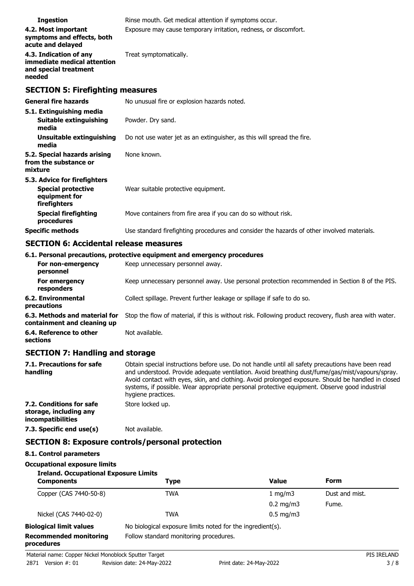| <b>Ingestion</b>                                                                           | Rinse mouth. Get medical attention if symptoms occur.                                      |  |  |
|--------------------------------------------------------------------------------------------|--------------------------------------------------------------------------------------------|--|--|
| 4.2. Most important<br>symptoms and effects, both<br>acute and delayed                     | Exposure may cause temporary irritation, redness, or discomfort.                           |  |  |
| 4.3. Indication of any<br>immediate medical attention<br>and special treatment<br>needed   | Treat symptomatically.                                                                     |  |  |
| <b>SECTION 5: Firefighting measures</b>                                                    |                                                                                            |  |  |
| <b>General fire hazards</b>                                                                | No unusual fire or explosion hazards noted.                                                |  |  |
| 5.1. Extinguishing media<br><b>Suitable extinguishing</b><br>media                         | Powder. Dry sand.                                                                          |  |  |
| Unsuitable extinguishing<br>media                                                          | Do not use water jet as an extinguisher, as this will spread the fire.                     |  |  |
| 5.2. Special hazards arising<br>from the substance or<br>mixture                           | None known.                                                                                |  |  |
| 5.3. Advice for firefighters<br><b>Special protective</b><br>equipment for<br>firefighters | Wear suitable protective equipment.                                                        |  |  |
| <b>Special firefighting</b><br>procedures                                                  | Move containers from fire area if you can do so without risk.                              |  |  |
| <b>Specific methods</b>                                                                    | Use standard firefighting procedures and consider the hazards of other involved materials. |  |  |

## **SECTION 6: Accidental release measures**

|                                   | 6.1. Personal precautions, protective equipment and emergency procedures                      |
|-----------------------------------|-----------------------------------------------------------------------------------------------|
| For non-emergency<br>personnel    | Keep unnecessary personnel away.                                                              |
| For emergency<br>responders       | Keep unnecessary personnel away. Use personal protection recommended in Section 8 of the PIS. |
| 6.2. Environmental<br>precautions | Collect spillage. Prevent further leakage or spillage if safe to do so.                       |

**6.3. Methods and material for** Stop the flow of material, if this is without risk. Following product recovery, flush area with water. **containment and cleaning up**

**6.4. Reference to other** Not available.

**sections**

### **SECTION 7: Handling and storage**

| 7.1. Precautions for safe<br>handling                                   | Obtain special instructions before use. Do not handle until all safety precautions have been read<br>and understood. Provide adequate ventilation. Avoid breathing dust/fume/gas/mist/vapours/spray.<br>Avoid contact with eyes, skin, and clothing. Avoid prolonged exposure. Should be handled in closed<br>systems, if possible. Wear appropriate personal protective equipment. Observe good industrial<br>hygiene practices. |
|-------------------------------------------------------------------------|-----------------------------------------------------------------------------------------------------------------------------------------------------------------------------------------------------------------------------------------------------------------------------------------------------------------------------------------------------------------------------------------------------------------------------------|
| 7.2. Conditions for safe<br>storage, including any<br>incompatibilities | Store locked up.                                                                                                                                                                                                                                                                                                                                                                                                                  |
| 7.3. Specific end use(s)                                                | Not available.                                                                                                                                                                                                                                                                                                                                                                                                                    |

## **SECTION 8: Exposure controls/personal protection**

### **8.1. Control parameters**

### **Occupational exposure limits**

| <b>Ireland. Occupational Exposure Limits</b><br><b>Components</b> | Type                                                       | <b>Value</b>         | Form           |
|-------------------------------------------------------------------|------------------------------------------------------------|----------------------|----------------|
| Copper (CAS 7440-50-8)                                            | <b>TWA</b>                                                 | 1 $mq/m3$            | Dust and mist. |
|                                                                   |                                                            | $0.2 \text{ mg/m}$ 3 | Fume.          |
| Nickel (CAS 7440-02-0)                                            | <b>TWA</b>                                                 | $0.5 \text{ mg/m}$   |                |
| <b>Biological limit values</b>                                    | No biological exposure limits noted for the ingredient(s). |                      |                |
| <b>Recommended monitoring</b><br>procedures                       | Follow standard monitoring procedures.                     |                      |                |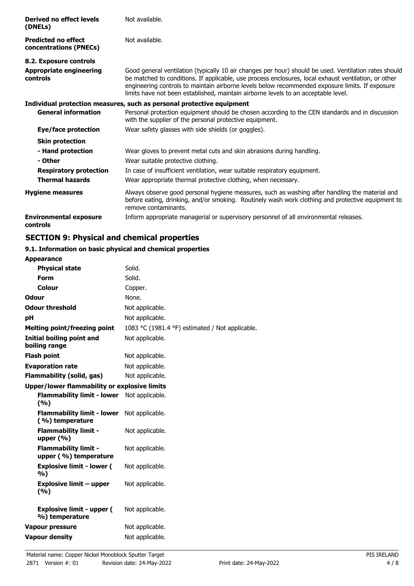| Derived no effect levels<br>(DNELs)                  | Not available.                                                                                                                                                                                                                                                                                                                                                                                         |
|------------------------------------------------------|--------------------------------------------------------------------------------------------------------------------------------------------------------------------------------------------------------------------------------------------------------------------------------------------------------------------------------------------------------------------------------------------------------|
| <b>Predicted no effect</b><br>concentrations (PNECs) | Not available.                                                                                                                                                                                                                                                                                                                                                                                         |
| 8.2. Exposure controls                               |                                                                                                                                                                                                                                                                                                                                                                                                        |
| <b>Appropriate engineering</b><br>controls           | Good general ventilation (typically 10 air changes per hour) should be used. Ventilation rates should<br>be matched to conditions. If applicable, use process enclosures, local exhaust ventilation, or other<br>engineering controls to maintain airborne levels below recommended exposure limits. If exposure<br>limits have not been established, maintain airborne levels to an acceptable level. |
|                                                      | Individual protection measures, such as personal protective equipment                                                                                                                                                                                                                                                                                                                                  |
| <b>General information</b>                           | Personal protection equipment should be chosen according to the CEN standards and in discussion<br>with the supplier of the personal protective equipment.                                                                                                                                                                                                                                             |
| Eye/face protection                                  | Wear safety glasses with side shields (or goggles).                                                                                                                                                                                                                                                                                                                                                    |
| <b>Skin protection</b>                               |                                                                                                                                                                                                                                                                                                                                                                                                        |
| - Hand protection                                    | Wear gloves to prevent metal cuts and skin abrasions during handling.                                                                                                                                                                                                                                                                                                                                  |
| - Other                                              | Wear suitable protective clothing.                                                                                                                                                                                                                                                                                                                                                                     |
| <b>Respiratory protection</b>                        | In case of insufficient ventilation, wear suitable respiratory equipment.                                                                                                                                                                                                                                                                                                                              |
| <b>Thermal hazards</b>                               | Wear appropriate thermal protective clothing, when necessary.                                                                                                                                                                                                                                                                                                                                          |
| <b>Hygiene measures</b>                              | Always observe good personal hygiene measures, such as washing after handling the material and<br>before eating, drinking, and/or smoking. Routinely wash work clothing and protective equipment to<br>remove contaminants.                                                                                                                                                                            |
| <b>Environmental exposure</b><br>controls            | Inform appropriate managerial or supervisory personnel of all environmental releases.                                                                                                                                                                                                                                                                                                                  |

## **SECTION 9: Physical and chemical properties**

#### **9.1. Information on basic physical and chemical properties Appearance**

| Appearance                                           |                                                 |
|------------------------------------------------------|-------------------------------------------------|
| <b>Physical state</b>                                | Solid.                                          |
| <b>Form</b>                                          | Solid.                                          |
| Colour                                               | Copper.                                         |
| <b>Odour</b>                                         | None.                                           |
| <b>Odour threshold</b>                               | Not applicable.                                 |
| рH                                                   | Not applicable.                                 |
| <b>Melting point/freezing point</b>                  | 1083 °C (1981.4 °F) estimated / Not applicable. |
| <b>Initial boiling point and</b><br>boiling range    | Not applicable.                                 |
| <b>Flash point</b>                                   | Not applicable.                                 |
| <b>Evaporation rate</b>                              | Not applicable.                                 |
| <b>Flammability (solid, gas)</b>                     | Not applicable.                                 |
| <b>Upper/lower flammability or explosive limits</b>  |                                                 |
| <b>Flammability limit - lower</b><br>(%)             | Not applicable.                                 |
| <b>Flammability limit - lower</b><br>(%) temperature | Not applicable.                                 |
| <b>Flammability limit -</b><br>upper $(% )$          | Not applicable.                                 |
| <b>Flammability limit -</b><br>upper (%) temperature | Not applicable.                                 |
| <b>Explosive limit - lower (</b><br>%)               | Not applicable.                                 |
| <b>Explosive limit - upper</b><br>(9/6)              | Not applicable.                                 |
| <b>Explosive limit - upper (</b><br>%) temperature   | Not applicable.                                 |
| <b>Vapour pressure</b>                               | Not applicable.                                 |
| <b>Vapour density</b>                                | Not applicable.                                 |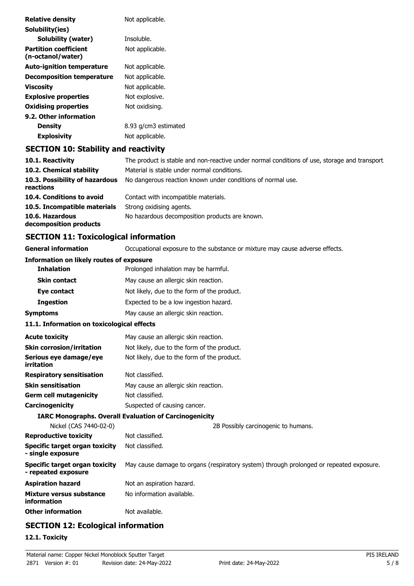| <b>Relative density</b>                           | Not applicable.                                                                               |
|---------------------------------------------------|-----------------------------------------------------------------------------------------------|
| Solubility(ies)                                   |                                                                                               |
| <b>Solubility (water)</b>                         | Insoluble.                                                                                    |
| <b>Partition coefficient</b><br>(n-octanol/water) | Not applicable.                                                                               |
| <b>Auto-ignition temperature</b>                  | Not applicable.                                                                               |
| <b>Decomposition temperature</b>                  | Not applicable.                                                                               |
| <b>Viscosity</b>                                  | Not applicable.                                                                               |
| <b>Explosive properties</b>                       | Not explosive.                                                                                |
| <b>Oxidising properties</b>                       | Not oxidising.                                                                                |
| 9.2. Other information                            |                                                                                               |
| <b>Density</b>                                    | 8.93 g/cm3 estimated                                                                          |
| <b>Explosivity</b>                                | Not applicable.                                                                               |
| <b>SECTION 10: Stability and reactivity</b>       |                                                                                               |
| 10.1. Reactivity                                  | The product is stable and non-reactive under normal conditions of use, storage and transport. |

| The product is stable and non-reactive under normal conditions of use, storage and transport |
|----------------------------------------------------------------------------------------------|
| Material is stable under normal conditions.                                                  |
| No dangerous reaction known under conditions of normal use.                                  |
| Contact with incompatible materials.                                                         |
| Strong oxidising agents.                                                                     |
| No hazardous decomposition products are known.                                               |
|                                                                                              |

# **SECTION 11: Toxicological information**

| <b>General information</b>                                   | Occupational exposure to the substance or mixture may cause adverse effects.            |  |  |
|--------------------------------------------------------------|-----------------------------------------------------------------------------------------|--|--|
| <b>Information on likely routes of exposure</b>              |                                                                                         |  |  |
| <b>Inhalation</b>                                            | Prolonged inhalation may be harmful.                                                    |  |  |
| <b>Skin contact</b>                                          | May cause an allergic skin reaction.                                                    |  |  |
| Eye contact                                                  | Not likely, due to the form of the product.                                             |  |  |
| <b>Ingestion</b>                                             | Expected to be a low ingestion hazard.                                                  |  |  |
| <b>Symptoms</b>                                              | May cause an allergic skin reaction.                                                    |  |  |
| 11.1. Information on toxicological effects                   |                                                                                         |  |  |
| <b>Acute toxicity</b>                                        | May cause an allergic skin reaction.                                                    |  |  |
| <b>Skin corrosion/irritation</b>                             | Not likely, due to the form of the product.                                             |  |  |
| Serious eye damage/eye<br>irritation                         | Not likely, due to the form of the product.                                             |  |  |
| <b>Respiratory sensitisation</b>                             | Not classified.                                                                         |  |  |
| <b>Skin sensitisation</b>                                    | May cause an allergic skin reaction.                                                    |  |  |
| <b>Germ cell mutagenicity</b>                                | Not classified.                                                                         |  |  |
| Carcinogenicity                                              | Suspected of causing cancer.                                                            |  |  |
|                                                              | <b>IARC Monographs. Overall Evaluation of Carcinogenicity</b>                           |  |  |
| Nickel (CAS 7440-02-0)                                       | 2B Possibly carcinogenic to humans.                                                     |  |  |
| <b>Reproductive toxicity</b>                                 | Not classified.                                                                         |  |  |
| <b>Specific target organ toxicity</b><br>- single exposure   | Not classified.                                                                         |  |  |
| <b>Specific target organ toxicity</b><br>- repeated exposure | May cause damage to organs (respiratory system) through prolonged or repeated exposure. |  |  |
| <b>Aspiration hazard</b>                                     | Not an aspiration hazard.                                                               |  |  |
| Mixture versus substance<br>information                      | No information available.                                                               |  |  |
| <b>Other information</b>                                     | Not available.                                                                          |  |  |
|                                                              |                                                                                         |  |  |

# **SECTION 12: Ecological information**

## **12.1. Toxicity**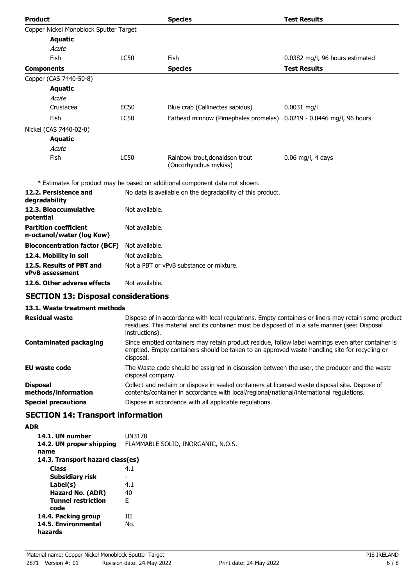| <b>Product</b>                                            |                | <b>Species</b>                                                               | <b>Test Results</b>             |
|-----------------------------------------------------------|----------------|------------------------------------------------------------------------------|---------------------------------|
| Copper Nickel Monoblock Sputter Target                    |                |                                                                              |                                 |
| <b>Aquatic</b>                                            |                |                                                                              |                                 |
| Acute                                                     |                |                                                                              |                                 |
| Fish                                                      | <b>LC50</b>    | Fish                                                                         | 0.0382 mg/l, 96 hours estimated |
| <b>Components</b>                                         |                | <b>Species</b>                                                               | <b>Test Results</b>             |
| Copper (CAS 7440-50-8)                                    |                |                                                                              |                                 |
| <b>Aquatic</b>                                            |                |                                                                              |                                 |
| Acute                                                     |                |                                                                              |                                 |
| Crustacea                                                 | <b>EC50</b>    | Blue crab (Callinectes sapidus)                                              | $0.0031$ mg/l                   |
| Fish                                                      | <b>LC50</b>    | Fathead minnow (Pimephales promelas)                                         | 0.0219 - 0.0446 mg/l, 96 hours  |
| Nickel (CAS 7440-02-0)                                    |                |                                                                              |                                 |
| <b>Aquatic</b>                                            |                |                                                                              |                                 |
| Acute                                                     |                |                                                                              |                                 |
| Fish                                                      | <b>LC50</b>    | Rainbow trout, donaldson trout<br>(Oncorhynchus mykiss)                      | $0.06$ mg/l, 4 days             |
|                                                           |                | * Estimates for product may be based on additional component data not shown. |                                 |
| 12.2. Persistence and<br>degradability                    |                | No data is available on the degradability of this product.                   |                                 |
| 12.3. Bioaccumulative<br>potential                        | Not available. |                                                                              |                                 |
| <b>Partition coefficient</b><br>n-octanol/water (log Kow) | Not available. |                                                                              |                                 |

| <b>Bioconcentration factor (BCF)</b> Not available. |                                         |
|-----------------------------------------------------|-----------------------------------------|
| 12.4. Mobility in soil                              | Not available.                          |
| 12.5. Results of PBT and                            | Not a PBT or vPvB substance or mixture. |
| <b>vPvB</b> assessment                              |                                         |

**12.6. Other adverse effects** Not available.

## **SECTION 13: Disposal considerations**

### **13.1. Waste treatment methods**

| <b>Residual waste</b>                  | Dispose of in accordance with local regulations. Empty containers or liners may retain some product<br>residues. This material and its container must be disposed of in a safe manner (see: Disposal<br>instructions). |
|----------------------------------------|------------------------------------------------------------------------------------------------------------------------------------------------------------------------------------------------------------------------|
| <b>Contaminated packaging</b>          | Since emptied containers may retain product residue, follow label warnings even after container is<br>emptied. Empty containers should be taken to an approved waste handling site for recycling or<br>disposal.       |
| <b>EU waste code</b>                   | The Waste code should be assigned in discussion between the user, the producer and the waste<br>disposal company.                                                                                                      |
| <b>Disposal</b><br>methods/information | Collect and reclaim or dispose in sealed containers at licensed waste disposal site. Dispose of<br>contents/container in accordance with local/regional/national/international regulations.                            |
| <b>Special precautions</b>             | Dispose in accordance with all applicable regulations.                                                                                                                                                                 |

# **SECTION 14: Transport information**

## **ADR**

| 14.1. UN number<br>14.2. UN proper shipping<br>name | UN3178<br>FLAMMABLE SOLID, INORGANIC, N.O.S. |
|-----------------------------------------------------|----------------------------------------------|
| 14.3. Transport hazard class(es)                    |                                              |
| <b>Class</b>                                        | 4.1                                          |
| Subsidiary risk                                     |                                              |
| Label(s)                                            | 4.1                                          |
| Hazard No. (ADR)                                    | 40                                           |
| <b>Tunnel restriction</b><br>code                   | F                                            |
| 14.4. Packing group                                 | ĦТ                                           |
| 14.5. Environmental<br>hazards                      | No.                                          |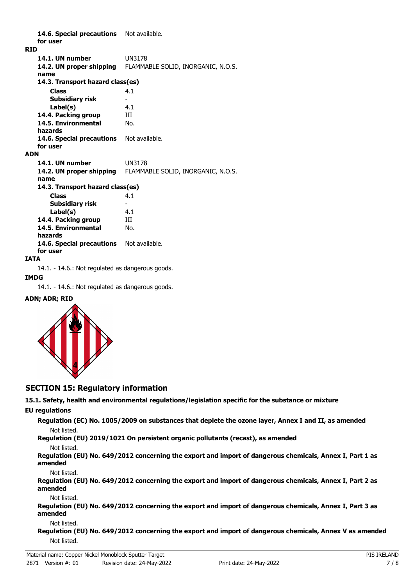14.6. Special precautions Not available. **for user RID 14.1. UN number** UN3178 **14.2. UN proper shipping** FLAMMABLE SOLID, INORGANIC, N.O.S. **name Class** 4.1 **14.3. Transport hazard class(es) Subsidiary risk Label(s)** 4.1 **14.4. Packing group III 14.5. Environmental** No. **hazards** 14.6. Special precautions Not available. **for user ADN 14.1. UN number** UN3178 **14.2. UN proper shipping** FLAMMABLE SOLID, INORGANIC, N.O.S. **name Class** 4.1 **14.3. Transport hazard class(es) Subsidiary risk Label(s)** 4.1 **14.4. Packing group III 14.5. Environmental** No. **hazards** 14.6. Special precautions Not available. **for user**

#### **IATA**

14.1. - 14.6.: Not regulated as dangerous goods.

#### **IMDG**

14.1. - 14.6.: Not regulated as dangerous goods.

#### **ADN; ADR; RID**



### **SECTION 15: Regulatory information**

**15.1. Safety, health and environmental regulations/legislation specific for the substance or mixture**

#### **EU regulations**

**Regulation (EC) No. 1005/2009 on substances that deplete the ozone layer, Annex I and II, as amended** Not listed.

**Regulation (EU) 2019/1021 On persistent organic pollutants (recast), as amended**

#### Not listed.

**Regulation (EU) No. 649/2012 concerning the export and import of dangerous chemicals, Annex I, Part 1 as amended**

Not listed.

**Regulation (EU) No. 649/2012 concerning the export and import of dangerous chemicals, Annex I, Part 2 as amended**

#### Not listed.

**Regulation (EU) No. 649/2012 concerning the export and import of dangerous chemicals, Annex I, Part 3 as amended**

#### Not listed.

**Regulation (EU) No. 649/2012 concerning the export and import of dangerous chemicals, Annex V as amended** Not listed.